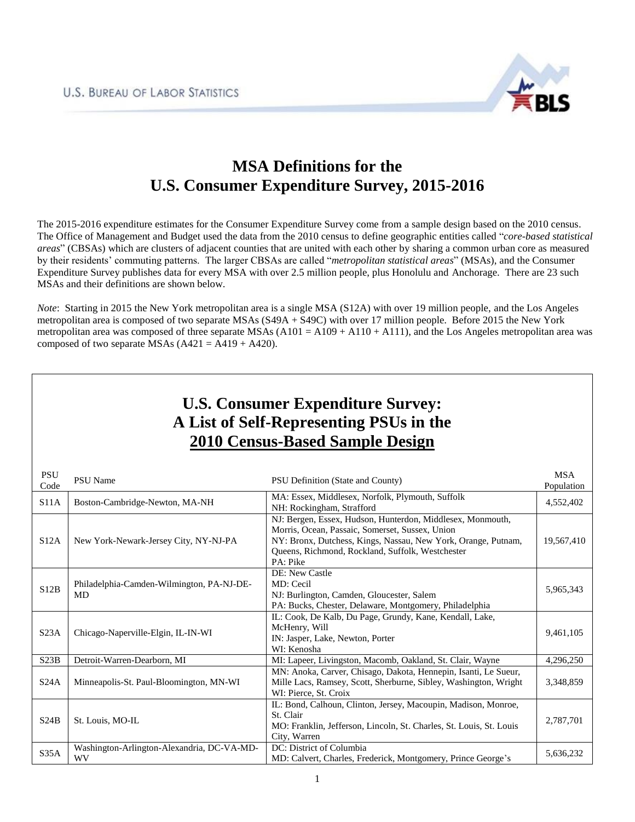

## **MSA Definitions for the U.S. Consumer Expenditure Survey, 2015-2016**

The 2015-2016 expenditure estimates for the Consumer Expenditure Survey come from a sample design based on the 2010 census. The Office of Management and Budget used the data from the 2010 census to define geographic entities called "*core-based statistical areas*" (CBSAs) which are clusters of adjacent counties that are united with each other by sharing a common urban core as measured by their residents' commuting patterns. The larger CBSAs are called "*metropolitan statistical areas*" (MSAs), and the Consumer Expenditure Survey publishes data for every MSA with over 2.5 million people, plus Honolulu and Anchorage. There are 23 such MSAs and their definitions are shown below.

*Note*: Starting in 2015 the New York metropolitan area is a single MSA (S12A) with over 19 million people, and the Los Angeles metropolitan area is composed of two separate MSAs (S49A + S49C) with over 17 million people. Before 2015 the New York metropolitan area was composed of three separate MSAs  $(A101 = A109 + A110 + A111)$ , and the Los Angeles metropolitan area was composed of two separate MSAs  $(A421 = A419 + A420)$ .

| <b>U.S. Consumer Expenditure Survey:</b><br>A List of Self-Representing PSUs in the<br><b>2010 Census-Based Sample Design</b> |                                                         |                                                                                                                                                                                                                                                |                          |  |
|-------------------------------------------------------------------------------------------------------------------------------|---------------------------------------------------------|------------------------------------------------------------------------------------------------------------------------------------------------------------------------------------------------------------------------------------------------|--------------------------|--|
| <b>PSU</b><br>Code                                                                                                            | <b>PSU</b> Name                                         | PSU Definition (State and County)                                                                                                                                                                                                              | <b>MSA</b><br>Population |  |
| S11A                                                                                                                          | Boston-Cambridge-Newton, MA-NH                          | MA: Essex, Middlesex, Norfolk, Plymouth, Suffolk<br>NH: Rockingham, Strafford                                                                                                                                                                  | 4,552,402                |  |
| S12A                                                                                                                          | New York-Newark-Jersey City, NY-NJ-PA                   | NJ: Bergen, Essex, Hudson, Hunterdon, Middlesex, Monmouth,<br>Morris, Ocean, Passaic, Somerset, Sussex, Union<br>NY: Bronx, Dutchess, Kings, Nassau, New York, Orange, Putnam,<br>Queens, Richmond, Rockland, Suffolk, Westchester<br>PA: Pike | 19,567,410               |  |
| S12B                                                                                                                          | Philadelphia-Camden-Wilmington, PA-NJ-DE-<br>MD         | DE: New Castle<br>MD: Cecil<br>NJ: Burlington, Camden, Gloucester, Salem<br>PA: Bucks, Chester, Delaware, Montgomery, Philadelphia                                                                                                             | 5,965,343                |  |
| S23A                                                                                                                          | Chicago-Naperville-Elgin, IL-IN-WI                      | IL: Cook, De Kalb, Du Page, Grundy, Kane, Kendall, Lake,<br>McHenry, Will<br>IN: Jasper, Lake, Newton, Porter<br>WI: Kenosha                                                                                                                   | 9,461,105                |  |
| S23B                                                                                                                          | Detroit-Warren-Dearborn, MI                             | MI: Lapeer, Livingston, Macomb, Oakland, St. Clair, Wayne                                                                                                                                                                                      | 4,296,250                |  |
| S24A                                                                                                                          | Minneapolis-St. Paul-Bloomington, MN-WI                 | MN: Anoka, Carver, Chisago, Dakota, Hennepin, Isanti, Le Sueur,<br>Mille Lacs, Ramsey, Scott, Sherburne, Sibley, Washington, Wright<br>WI: Pierce, St. Croix                                                                                   | 3,348,859                |  |
| S24B                                                                                                                          | St. Louis, MO-IL                                        | IL: Bond, Calhoun, Clinton, Jersey, Macoupin, Madison, Monroe,<br>St. Clair<br>MO: Franklin, Jefferson, Lincoln, St. Charles, St. Louis, St. Louis<br>City, Warren                                                                             | 2,787,701                |  |
| S35A                                                                                                                          | Washington-Arlington-Alexandria, DC-VA-MD-<br><b>WV</b> | DC: District of Columbia<br>MD: Calvert, Charles, Frederick, Montgomery, Prince George's                                                                                                                                                       | 5,636,232                |  |